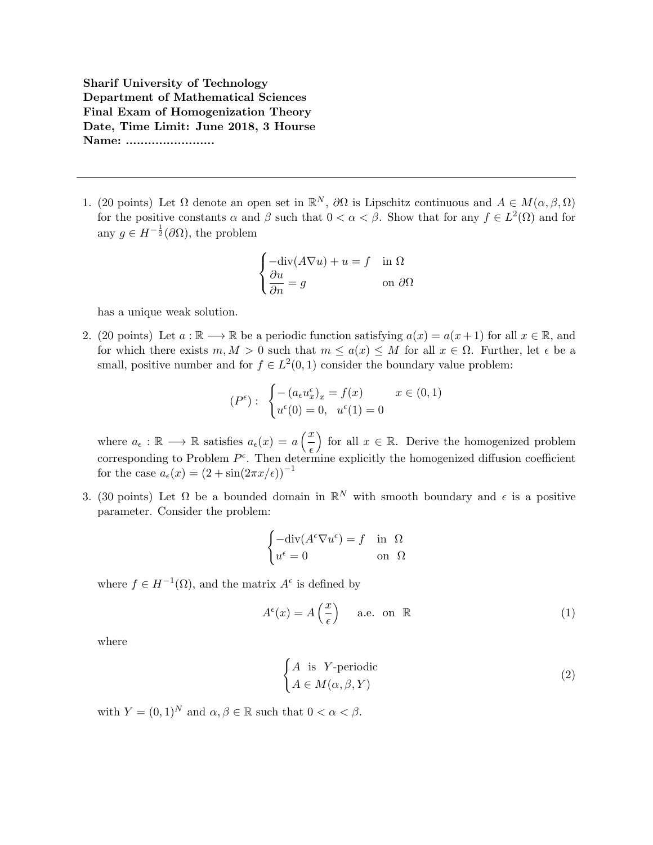Sharif University of Technology Department of Mathematical Sciences Final Exam of Homogenization Theory Date, Time Limit: June 2018, 3 Hourse Name: .........................

1. (20 points) Let  $\Omega$  denote an open set in  $\mathbb{R}^N$ ,  $\partial\Omega$  is Lipschitz continuous and  $A \in M(\alpha,\beta,\Omega)$ for the positive constants  $\alpha$  and  $\beta$  such that  $0 < \alpha < \beta$ . Show that for any  $f \in L^2(\Omega)$  and for any  $g \in H^{-\frac{1}{2}}(\partial \Omega)$ , the problem

$$
\begin{cases}\n-\text{div}(A\nabla u) + u = f & \text{in } \Omega \\
\frac{\partial u}{\partial n} = g & \text{on } \partial\Omega\n\end{cases}
$$

has a unique weak solution.

2. (20 points) Let  $a : \mathbb{R} \longrightarrow \mathbb{R}$  be a periodic function satisfying  $a(x) = a(x+1)$  for all  $x \in \mathbb{R}$ , and for which there exists  $m, M > 0$  such that  $m \leq a(x) \leq M$  for all  $x \in \Omega$ . Further, let  $\epsilon$  be a small, positive number and for  $f \in L^2(0,1)$  consider the boundary value problem:

$$
(P^{\epsilon}): \begin{cases} -(a_{\epsilon}u_{x}^{\epsilon})_{x} = f(x) & x \in (0,1) \\ u^{\epsilon}(0) = 0, u^{\epsilon}(1) = 0 \end{cases}
$$

where  $a_{\epsilon} : \mathbb{R} \longrightarrow \mathbb{R}$  satisfies  $a_{\epsilon}(x) = a\left(\frac{x}{x}\right)$  $\epsilon$ for all  $x \in \mathbb{R}$ . Derive the homogenized problem corresponding to Problem  $P^{\epsilon}$ . Then determine explicitly the homogenized diffusion coefficient for the case  $a_{\epsilon}(x) = (2 + \sin(2\pi x/\epsilon))^{-1}$ 

3. (30 points) Let  $\Omega$  be a bounded domain in  $\mathbb{R}^N$  with smooth boundary and  $\epsilon$  is a positive parameter. Consider the problem:

$$
\begin{cases}\n-\text{div}(A^{\epsilon}\nabla u^{\epsilon}) = f & \text{in } \Omega \\
u^{\epsilon} = 0 & \text{on } \Omega\n\end{cases}
$$

where  $f \in H^{-1}(\Omega)$ , and the matrix  $A^{\epsilon}$  is defined by

$$
A^{\epsilon}(x) = A\left(\frac{x}{\epsilon}\right) \quad \text{a.e. on } \mathbb{R} \tag{1}
$$

where

$$
\begin{cases} A \text{ is } Y \text{-periodic} \\ A \in M(\alpha, \beta, Y) \end{cases} \tag{2}
$$

with  $Y = (0, 1)^N$  and  $\alpha, \beta \in \mathbb{R}$  such that  $0 < \alpha < \beta$ .